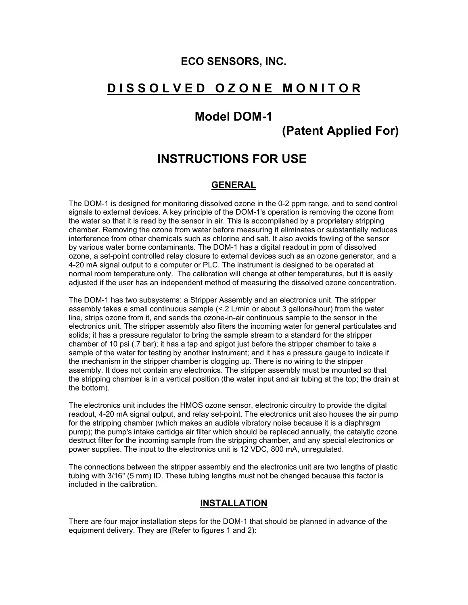## **ECO SENSORS, INC.**

# **D I S S O L V E D O Z O N E M O N I T O R**

## **Model DOM-1**

# **(Patent Applied For)**

# **INSTRUCTIONS FOR USE**

### **GENERAL**

The DOM-1 is designed for monitoring dissolved ozone in the 0-2 ppm range, and to send control signals to external devices. A key principle of the DOM-1's operation is removing the ozone from the water so that it is read by the sensor in air. This is accomplished by a proprietary stripping chamber. Removing the ozone from water before measuring it eliminates or substantially reduces interference from other chemicals such as chlorine and salt. It also avoids fowling of the sensor by various water borne contaminants. The DOM-1 has a digital readout in ppm of dissolved ozone, a set-point controlled relay closure to external devices such as an ozone generator, and a 4-20 mA signal output to a computer or PLC. The instrument is designed to be operated at normal room temperature only. The calibration will change at other temperatures, but it is easily adjusted if the user has an independent method of measuring the dissolved ozone concentration.

The DOM-1 has two subsystems: a Stripper Assembly and an electronics unit. The stripper assembly takes a small continuous sample (<.2 L/min or about 3 gallons/hour) from the water line, strips ozone from it, and sends the ozone-in-air continuous sample to the sensor in the electronics unit. The stripper assembly also filters the incoming water for general particulates and solids; it has a pressure regulator to bring the sample stream to a standard for the stripper chamber of 10 psi (.7 bar); it has a tap and spigot just before the stripper chamber to take a sample of the water for testing by another instrument; and it has a pressure gauge to indicate if the mechanism in the stripper chamber is clogging up. There is no wiring to the stripper assembly. It does not contain any electronics. The stripper assembly must be mounted so that the stripping chamber is in a vertical position (the water input and air tubing at the top; the drain at the bottom).

The electronics unit includes the HMOS ozone sensor, electronic circuitry to provide the digital readout, 4-20 mA signal output, and relay set-point. The electronics unit also houses the air pump for the stripping chamber (which makes an audible vibratory noise because it is a diaphragm pump); the pump's intake cartidge air filter which should be replaced annually, the catalytic ozone destruct filter for the incoming sample from the stripping chamber, and any special electronics or power supplies. The input to the electronics unit is 12 VDC, 800 mA, unregulated.

The connections between the stripper assembly and the electronics unit are two lengths of plastic tubing with 3/16" (5 mm) ID. These tubing lengths must not be changed because this factor is included in the calibration.

### **INSTALLATION**

There are four major installation steps for the DOM-1 that should be planned in advance of the equipment delivery. They are (Refer to figures 1 and 2):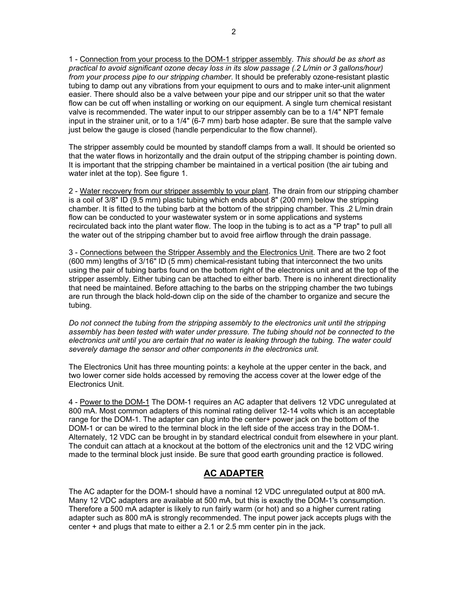1 - Connection from your process to the DOM-1 stripper assembly. *This should be as short as practical to avoid significant ozone decay loss in its slow passage (.2 L/min or 3 gallons/hour) from your process pipe to our stripping chamber*. It should be preferably ozone-resistant plastic tubing to damp out any vibrations from your equipment to ours and to make inter-unit alignment easier. There should also be a valve between your pipe and our stripper unit so that the water flow can be cut off when installing or working on our equipment. A single turn chemical resistant valve is recommended. The water input to our stripper assembly can be to a 1/4" NPT female input in the strainer unit, or to a 1/4" (6-7 mm) barb hose adapter. Be sure that the sample valve just below the gauge is closed (handle perpendicular to the flow channel).

The stripper assembly could be mounted by standoff clamps from a wall. It should be oriented so that the water flows in horizontally and the drain output of the stripping chamber is pointing down. It is important that the stripping chamber be maintained in a vertical position (the air tubing and water inlet at the top). See figure 1.

2 - Water recovery from our stripper assembly to your plant. The drain from our stripping chamber is a coil of 3/8" ID (9.5 mm) plastic tubing which ends about 8" (200 mm) below the stripping chamber. It is fitted to the tubing barb at the bottom of the stripping chamber. This .2 L/min drain flow can be conducted to your wastewater system or in some applications and systems recirculated back into the plant water flow. The loop in the tubing is to act as a "P trap" to pull all the water out of the stripping chamber but to avoid free airflow through the drain passage.

3 - Connections between the Stripper Assembly and the Electronics Unit. There are two 2 foot (600 mm) lengths of 3/16" ID (5 mm) chemical-resistant tubing that interconnect the two units using the pair of tubing barbs found on the bottom right of the electronics unit and at the top of the stripper assembly. Either tubing can be attached to either barb. There is no inherent directionality that need be maintained. Before attaching to the barbs on the stripping chamber the two tubings are run through the black hold-down clip on the side of the chamber to organize and secure the tubing.

*Do not connect the tubing from the stripping assembly to the electronics unit until the stripping assembly has been tested with water under pressure. The tubing should not be connected to the electronics unit until you are certain that no water is leaking through the tubing. The water could severely damage the sensor and other components in the electronics unit.* 

The Electronics Unit has three mounting points: a keyhole at the upper center in the back, and two lower corner side holds accessed by removing the access cover at the lower edge of the Electronics Unit.

4 - Power to the DOM-1 The DOM-1 requires an AC adapter that delivers 12 VDC unregulated at 800 mA. Most common adapters of this nominal rating deliver 12-14 volts which is an acceptable range for the DOM-1. The adapter can plug into the center+ power jack on the bottom of the DOM-1 or can be wired to the terminal block in the left side of the access tray in the DOM-1. Alternately, 12 VDC can be brought in by standard electrical conduit from elsewhere in your plant. The conduit can attach at a knockout at the bottom of the electronics unit and the 12 VDC wiring made to the terminal block just inside. Be sure that good earth grounding practice is followed.

### **AC ADAPTER**

The AC adapter for the DOM-1 should have a nominal 12 VDC unregulated output at 800 mA. Many 12 VDC adapters are available at 500 mA, but this is exactly the DOM-1's consumption. Therefore a 500 mA adapter is likely to run fairly warm (or hot) and so a higher current rating adapter such as 800 mA is strongly recommended. The input power jack accepts plugs with the center + and plugs that mate to either a 2.1 or 2.5 mm center pin in the jack.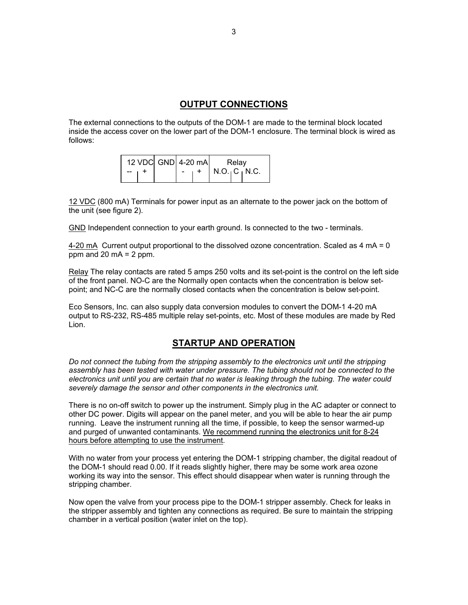### **OUTPUT CONNECTIONS**

The external connections to the outputs of the DOM-1 are made to the terminal block located inside the access cover on the lower part of the DOM-1 enclosure. The terminal block is wired as follows:

|  |  | 12 VDC GND 4-20 mA |  | Relay                           |  |  |  |
|--|--|--------------------|--|---------------------------------|--|--|--|
|  |  |                    |  | $N.O.$ <sub>1</sub> $C1$ $N.C.$ |  |  |  |

12 VDC (800 mA) Terminals for power input as an alternate to the power jack on the bottom of the unit (see figure 2).

GND Independent connection to your earth ground. Is connected to the two - terminals.

4-20 mA Current output proportional to the dissolved ozone concentration. Scaled as 4 mA = 0 ppm and 20  $mA = 2$  ppm.

Relay The relay contacts are rated 5 amps 250 volts and its set-point is the control on the left side of the front panel. NO-C are the Normally open contacts when the concentration is below setpoint; and NC-C are the normally closed contacts when the concentration is below set-point.

Eco Sensors, Inc. can also supply data conversion modules to convert the DOM-1 4-20 mA output to RS-232, RS-485 multiple relay set-points, etc. Most of these modules are made by Red Lion.

### **STARTUP AND OPERATION**

*Do not connect the tubing from the stripping assembly to the electronics unit until the stripping assembly has been tested with water under pressure. The tubing should not be connected to the electronics unit until you are certain that no water is leaking through the tubing. The water could severely damage the sensor and other components in the electronics unit.*

There is no on-off switch to power up the instrument. Simply plug in the AC adapter or connect to other DC power. Digits will appear on the panel meter, and you will be able to hear the air pump running. Leave the instrument running all the time, if possible, to keep the sensor warmed-up and purged of unwanted contaminants. We recommend running the electronics unit for 8-24 hours before attempting to use the instrument.

With no water from your process yet entering the DOM-1 stripping chamber, the digital readout of the DOM-1 should read 0.00. If it reads slightly higher, there may be some work area ozone working its way into the sensor. This effect should disappear when water is running through the stripping chamber.

Now open the valve from your process pipe to the DOM-1 stripper assembly. Check for leaks in the stripper assembly and tighten any connections as required. Be sure to maintain the stripping chamber in a vertical position (water inlet on the top).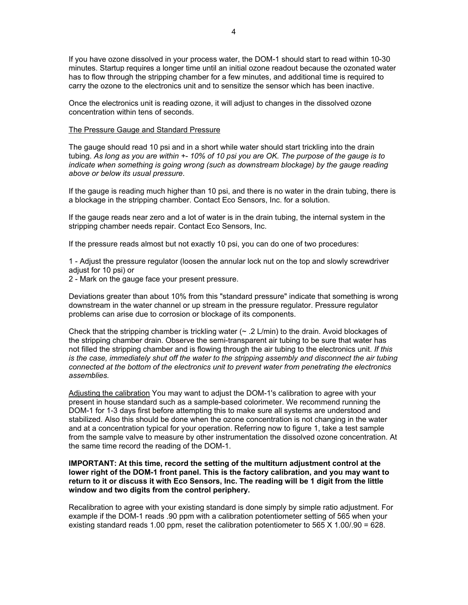If you have ozone dissolved in your process water, the DOM-1 should start to read within 10-30 minutes. Startup requires a longer time until an initial ozone readout because the ozonated water has to flow through the stripping chamber for a few minutes, and additional time is required to carry the ozone to the electronics unit and to sensitize the sensor which has been inactive.

Once the electronics unit is reading ozone, it will adjust to changes in the dissolved ozone concentration within tens of seconds.

#### The Pressure Gauge and Standard Pressure

The gauge should read 10 psi and in a short while water should start trickling into the drain tubing. *As long as you are within +- 10% of 10 psi you are OK. The purpose of the gauge is to indicate when something is going wrong (such as downstream blockage) by the gauge reading above or below its usual pressure*.

If the gauge is reading much higher than 10 psi, and there is no water in the drain tubing, there is a blockage in the stripping chamber. Contact Eco Sensors, Inc. for a solution.

If the gauge reads near zero and a lot of water is in the drain tubing, the internal system in the stripping chamber needs repair. Contact Eco Sensors, Inc.

If the pressure reads almost but not exactly 10 psi, you can do one of two procedures:

1 - Adjust the pressure regulator (loosen the annular lock nut on the top and slowly screwdriver adiust for 10 psi) or

2 - Mark on the gauge face your present pressure.

Deviations greater than about 10% from this "standard pressure" indicate that something is wrong downstream in the water channel or up stream in the pressure regulator. Pressure regulator problems can arise due to corrosion or blockage of its components.

Check that the stripping chamber is trickling water (~ .2 L/min) to the drain. Avoid blockages of the stripping chamber drain. Observe the semi-transparent air tubing to be sure that water has not filled the stripping chamber and is flowing through the air tubing to the electronics unit. *If this is the case, immediately shut off the water to the stripping assembly and disconnect the air tubing connected at the bottom of the electronics unit to prevent water from penetrating the electronics assemblies.*

Adjusting the calibration You may want to adjust the DOM-1's calibration to agree with your present in house standard such as a sample-based colorimeter. We recommend running the DOM-1 for 1-3 days first before attempting this to make sure all systems are understood and stabilized. Also this should be done when the ozone concentration is not changing in the water and at a concentration typical for your operation. Referring now to figure 1, take a test sample from the sample valve to measure by other instrumentation the dissolved ozone concentration. At the same time record the reading of the DOM-1.

#### **IMPORTANT: At this time, record the setting of the multiturn adjustment control at the lower right of the DOM-1 front panel. This is the factory calibration, and you may want to return to it or discuss it with Eco Sensors, Inc. The reading will be 1 digit from the little window and two digits from the control periphery.**

Recalibration to agree with your existing standard is done simply by simple ratio adjustment. For example if the DOM-1 reads .90 ppm with a calibration potentiometer setting of 565 when your existing standard reads 1.00 ppm, reset the calibration potentiometer to 565 X 1.00/.90 = 628.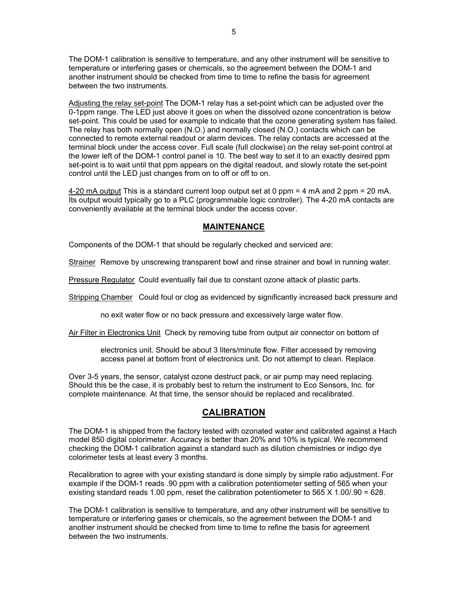The DOM-1 calibration is sensitive to temperature, and any other instrument will be sensitive to temperature or interfering gases or chemicals, so the agreement between the DOM-1 and another instrument should be checked from time to time to refine the basis for agreement between the two instruments.

Adjusting the relay set-point The DOM-1 relay has a set-point which can be adjusted over the 0-1ppm range. The LED just above it goes on when the dissolved ozone concentration is below set-point. This could be used for example to indicate that the ozone generating system has failed. The relay has both normally open (N.O.) and normally closed (N.O.) contacts which can be connected to remote external readout or alarm devices. The relay contacts are accessed at the terminal block under the access cover. Full scale (full clockwise) on the relay set-point control at the lower left of the DOM-1 control panel is 10. The best way to set it to an exactly desired ppm set-point is to wait until that ppm appears on the digital readout, and slowly rotate the set-point control until the LED just changes from on to off or off to on.

4-20 mA output This is a standard current loop output set at 0 ppm = 4 mA and 2 ppm = 20 mA. Its output would typically go to a PLC (programmable logic controller). The 4-20 mA contacts are conveniently available at the terminal block under the access cover.

### **MAINTENANCE**

Components of the DOM-1 that should be regularly checked and serviced are:

Strainer Remove by unscrewing transparent bowl and rinse strainer and bowl in running water.

Pressure Regulator Could eventually fail due to constant ozone attack of plastic parts.

Stripping Chamber Could foul or clog as evidenced by significantly increased back pressure and

no exit water flow or no back pressure and excessively large water flow.

Air Filter in Electronics Unit Check by removing tube from output air connector on bottom of

 electronics unit. Should be about 3 liters/minute flow. Filter accessed by removing access panel at bottom front of electronics unit. Do not attempt to clean. Replace.

Over 3-5 years, the sensor, catalyst ozone destruct pack, or air pump may need replacing. Should this be the case, it is probably best to return the instrument to Eco Sensors, Inc. for complete maintenance. At that time, the sensor should be replaced and recalibrated.

### **CALIBRATION**

The DOM-1 is shipped from the factory tested with ozonated water and calibrated against a Hach model 850 digital colorimeter. Accuracy is better than 20% and 10% is typical. We recommend checking the DOM-1 calibration against a standard such as dilution chemistries or indigo dye colorimeter tests at least every 3 months.

Recalibration to agree with your existing standard is done simply by simple ratio adjustment. For example if the DOM-1 reads .90 ppm with a calibration potentiometer setting of 565 when your existing standard reads 1.00 ppm, reset the calibration potentiometer to  $565 \times 1.00/90 = 628$ .

The DOM-1 calibration is sensitive to temperature, and any other instrument will be sensitive to temperature or interfering gases or chemicals, so the agreement between the DOM-1 and another instrument should be checked from time to time to refine the basis for agreement between the two instruments.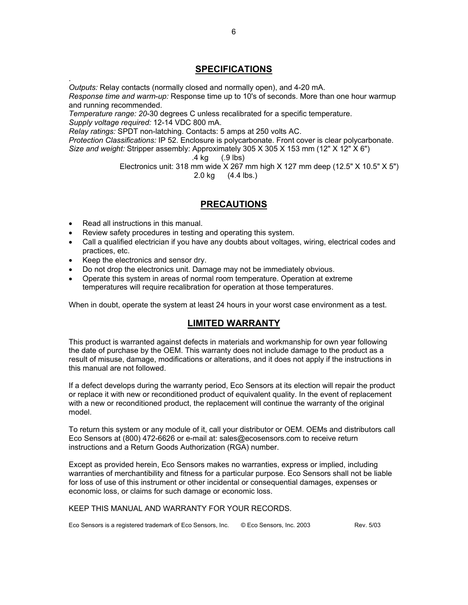### **SPECIFICATIONS**

. *Outputs:* Relay contacts (normally closed and normally open), and 4-20 mA.

*Response time and warm-up:* Response time up to 10's of seconds. More than one hour warmup and running recommended.

*Temperature range: 20*-30 degrees C unless recalibrated for a specific temperature. *Supply voltage required:* 12-14 VDC 800 mA.

*Relay ratings:* SPDT non-latching. Contacts: 5 amps at 250 volts AC.

*Protection Classifications:* IP 52. Enclosure is polycarbonate. Front cover is clear polycarbonate. *Size and weight:* Stripper assembly: Approximately 305 X 305 X 153 mm (12" X 12" X 6")

.4 kg (.9 lbs)

Electronics unit: 318 mm wide  $X$  267 mm high  $X$  127 mm deep (12.5"  $X$  10.5"  $X$  5") 2.0 kg (4.4 lbs.)

## **PRECAUTIONS**

- Read all instructions in this manual.
- Review safety procedures in testing and operating this system.
- Call a qualified electrician if you have any doubts about voltages, wiring, electrical codes and practices, etc.
- Keep the electronics and sensor dry.
- Do not drop the electronics unit. Damage may not be immediately obvious.
- Operate this system in areas of normal room temperature. Operation at extreme temperatures will require recalibration for operation at those temperatures.

When in doubt, operate the system at least 24 hours in your worst case environment as a test.

### **LIMITED WARRANTY**

This product is warranted against defects in materials and workmanship for own year following the date of purchase by the OEM. This warranty does not include damage to the product as a result of misuse, damage, modifications or alterations, and it does not apply if the instructions in this manual are not followed.

If a defect develops during the warranty period, Eco Sensors at its election will repair the product or replace it with new or reconditioned product of equivalent quality. In the event of replacement with a new or reconditioned product, the replacement will continue the warranty of the original model.

To return this system or any module of it, call your distributor or OEM. OEMs and distributors call Eco Sensors at (800) 472-6626 or e-mail at: sales@ecosensors.com to receive return instructions and a Return Goods Authorization (RGA) number.

Except as provided herein, Eco Sensors makes no warranties, express or implied, including warranties of merchantibility and fitness for a particular purpose. Eco Sensors shall not be liable for loss of use of this instrument or other incidental or consequential damages, expenses or economic loss, or claims for such damage or economic loss.

#### KEEP THIS MANUAL AND WARRANTY FOR YOUR RECORDS.

Eco Sensors is a registered trademark of Eco Sensors, Inc. © Eco Sensors, Inc. 2003 Rev. 5/03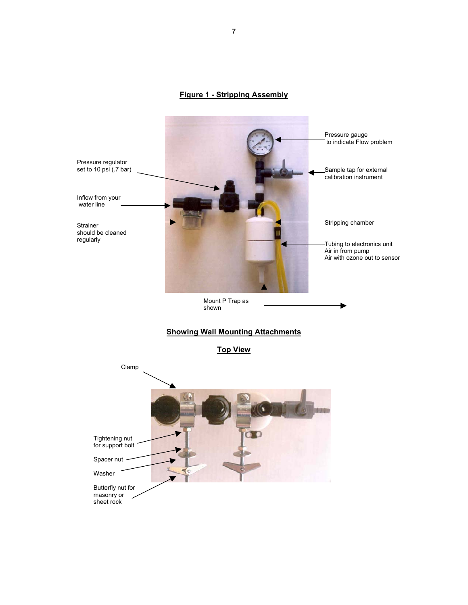### **Figure 1 - Stripping Assembly**